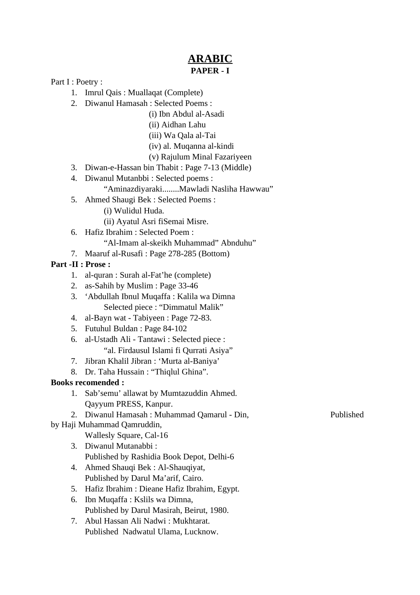## **ARABIC PAPER - I**

Part I : Poetry :

- 1. Imrul Qais : Muallaqat (Complete)
- 2. Diwanul Hamasah : Selected Poems :
	- (i) Ibn Abdul al-Asadi
	- (ii) Aidhan Lahu
	- (iii) Wa Qala al-Tai
	- (iv) al. Muqanna al-kindi
	- (v) Rajulum Minal Fazariyeen
- 3. Diwan-e-Hassan bin Thabit : Page 7-13 (Middle)
- 4. Diwanul Mutanbbi : Selected poems : "Aminazdiyaraki........Mawladi Nasliha Hawwau"
- 5. Ahmed Shaugi Bek : Selected Poems :
	- (i) Wulidul Huda.
	- (ii) Ayatul Asri fiSemai Misre.
- 6. Hafiz Ibrahim : Selected Poem :
	- "Al-Imam al-skeikh Muhammad" Abnduhu"
- 7. Maaruf al-Rusafi : Page 278-285 (Bottom)

## **Part -II : Prose :**

- 1. al-quran : Surah al-Fat'he (complete)
- 2. as-Sahih by Muslim : Page 33-46
- 3. 'Abdullah Ibnul Muqaffa : Kalila wa Dimna Selected piece : "Dimmatul Malik"
- 4. al-Bayn wat Tabiyeen : Page 72-83.
- 5. Futuhul Buldan : Page 84-102
- 6. al-Ustadh Ali Tantawi : Selected piece : "al. Firdausul Islami fi Qurrati Asiya"
- 7. Jibran Khalil Jibran : 'Murta al-Baniya'
- 8. Dr. Taha Hussain : "Thiqlul Ghina".

### **Books recomended :**

- 1. Sab'semu' allawat by Mumtazuddin Ahmed. Qayyum PRESS, Kanpur.
- 2. Diwanul Hamasah : Muhammad Qamarul Din, Published
- by Haji Muhammad Qamruddin,
	- Wallesly Square, Cal-16
	- 3. Diwanul Mutanabbi : Published by Rashidia Book Depot, Delhi-6
	- 4. Ahmed Shauqi Bek : Al-Shauqiyat, Published by Darul Ma'arif, Cairo.
	- 5. Hafiz Ibrahim : Dieane Hafiz Ibrahim, Egypt.
	- 6. Ibn Muqaffa : Kslils wa Dimna, Published by Darul Masirah, Beirut, 1980.
	- 7. Abul Hassan Ali Nadwi : Mukhtarat. Published Nadwatul Ulama, Lucknow.